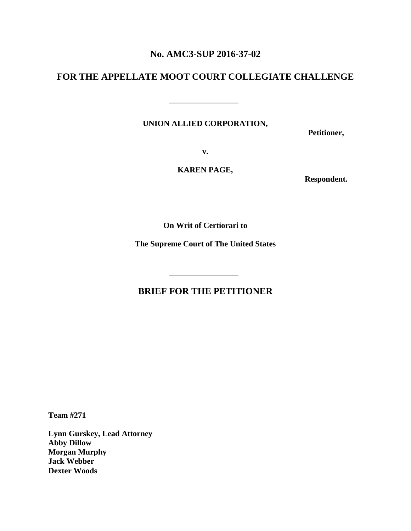## **No. AMC3-SUP 2016-37-02**

# **FOR THE APPELLATE MOOT COURT COLLEGIATE CHALLENGE**

**UNION ALLIED CORPORATION,**

**Petitioner,**

**v.**

**KAREN PAGE,**

**Respondent.**

**On Writ of Certiorari to**

**The Supreme Court of The United States**

**BRIEF FOR THE PETITIONER**

**Team #271**

**Lynn Gurskey, Lead Attorney Abby Dillow Morgan Murphy Jack Webber Dexter Woods**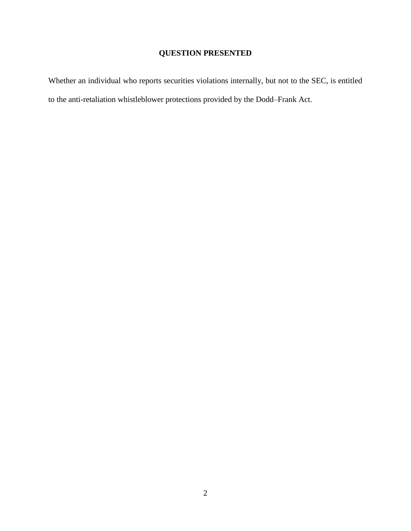# **QUESTION PRESENTED**

Whether an individual who reports securities violations internally, but not to the SEC, is entitled to the anti-retaliation whistleblower protections provided by the Dodd–Frank Act.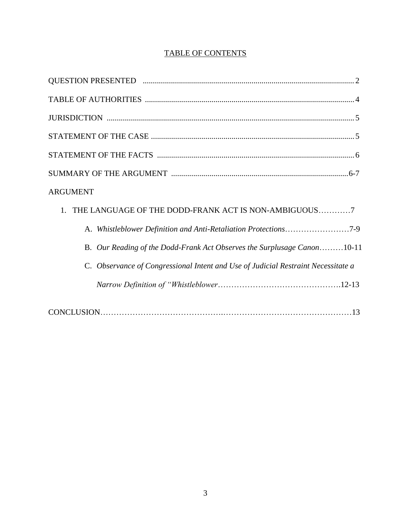# TABLE OF CONTENTS

| <b>ARGUMENT</b>                                                                   |
|-----------------------------------------------------------------------------------|
| 1. THE LANGUAGE OF THE DODD-FRANK ACT IS NON-AMBIGUOUS7                           |
| A. Whistleblower Definition and Anti-Retaliation Protections7-9                   |
| B. Our Reading of the Dodd-Frank Act Observes the Surplusage Canon10-11           |
| C. Observance of Congressional Intent and Use of Judicial Restraint Necessitate a |
|                                                                                   |
|                                                                                   |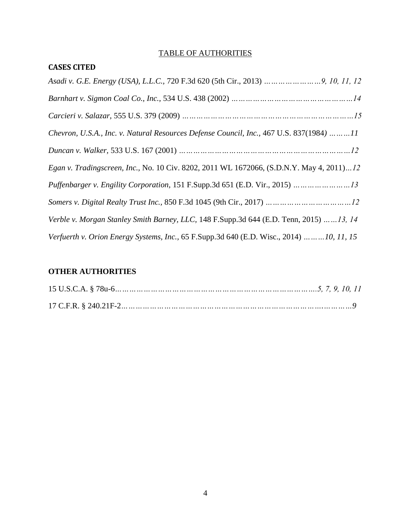## TABLE OF AUTHORITIES

## **CASES CITED**

| Asadi v. G.E. Energy (USA), L.L.C., 720 F.3d 620 (5th Cir., 2013)  9, 10, 11, 12         |  |
|------------------------------------------------------------------------------------------|--|
|                                                                                          |  |
|                                                                                          |  |
| Chevron, U.S.A., Inc. v. Natural Resources Defense Council, Inc., 467 U.S. 837(1984) 11  |  |
| <i>Duncan v. Walker</i> , 533 U.S. 167 (2001) <i>                              .</i>     |  |
| Egan v. Tradingscreen, Inc., No. 10 Civ. 8202, 2011 WL 1672066, (S.D.N.Y. May 4, 2011)12 |  |
| Puffenbarger v. Engility Corporation, 151 F.Supp.3d 651 (E.D. Vir., 2015) 13             |  |
|                                                                                          |  |
| Verble v. Morgan Stanley Smith Barney, LLC, 148 F.Supp.3d 644 (E.D. Tenn, 2015)   13, 14 |  |
| Verfuerth v. Orion Energy Systems, Inc., 65 F.Supp.3d 640 (E.D. Wisc., 2014) 10, 11, 15  |  |

# **OTHER AUTHORITIES**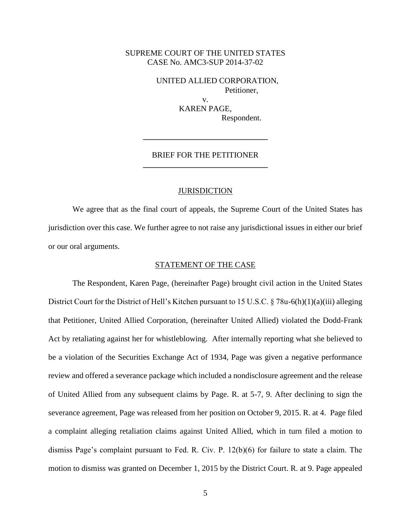## SUPREME COURT OF THE UNITED STATES CASE No. AMC3-SUP 2014-37-02

UNITED ALLIED CORPORATION, Petitioner, v. KAREN PAGE, Respondent.

## BRIEF FOR THE PETITIONER **\_\_\_\_\_\_\_\_\_\_\_\_\_\_\_\_\_\_\_\_\_\_\_\_\_\_\_\_\_\_\_**

**\_\_\_\_\_\_\_\_\_\_\_\_\_\_\_\_\_\_\_\_\_\_\_\_\_\_\_\_\_\_\_**

#### **JURISDICTION**

We agree that as the final court of appeals, the Supreme Court of the United States has jurisdiction over this case. We further agree to not raise any jurisdictional issues in either our brief or our oral arguments.

#### STATEMENT OF THE CASE

The Respondent, Karen Page, (hereinafter Page) brought civil action in the United States District Court for the District of Hell's Kitchen pursuant to 15 U.S.C. § 78u-6(h)(1)(a)(iii) alleging that Petitioner, United Allied Corporation, (hereinafter United Allied) violated the Dodd-Frank Act by retaliating against her for whistleblowing. After internally reporting what she believed to be a violation of the Securities Exchange Act of 1934, Page was given a negative performance review and offered a severance package which included a nondisclosure agreement and the release of United Allied from any subsequent claims by Page. R. at 5-7, 9. After declining to sign the severance agreement, Page was released from her position on October 9, 2015. R. at 4. Page filed a complaint alleging retaliation claims against United Allied, which in turn filed a motion to dismiss Page's complaint pursuant to Fed. R. Civ. P. 12(b)(6) for failure to state a claim. The motion to dismiss was granted on December 1, 2015 by the District Court. R. at 9. Page appealed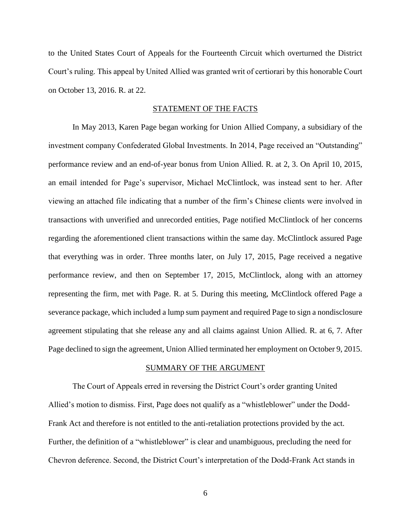to the United States Court of Appeals for the Fourteenth Circuit which overturned the District Court's ruling. This appeal by United Allied was granted writ of certiorari by this honorable Court on October 13, 2016. R. at 22.

## STATEMENT OF THE FACTS

In May 2013, Karen Page began working for Union Allied Company, a subsidiary of the investment company Confederated Global Investments. In 2014, Page received an "Outstanding" performance review and an end-of-year bonus from Union Allied. R. at 2, 3. On April 10, 2015, an email intended for Page's supervisor, Michael McClintlock, was instead sent to her. After viewing an attached file indicating that a number of the firm's Chinese clients were involved in transactions with unverified and unrecorded entities, Page notified McClintlock of her concerns regarding the aforementioned client transactions within the same day. McClintlock assured Page that everything was in order. Three months later, on July 17, 2015, Page received a negative performance review, and then on September 17, 2015, McClintlock, along with an attorney representing the firm, met with Page. R. at 5. During this meeting, McClintlock offered Page a severance package, which included a lump sum payment and required Page to sign a nondisclosure agreement stipulating that she release any and all claims against Union Allied. R. at 6, 7. After Page declined to sign the agreement, Union Allied terminated her employment on October 9, 2015.

### SUMMARY OF THE ARGUMENT

The Court of Appeals erred in reversing the District Court's order granting United Allied's motion to dismiss. First, Page does not qualify as a "whistleblower" under the Dodd-Frank Act and therefore is not entitled to the anti-retaliation protections provided by the act. Further, the definition of a "whistleblower" is clear and unambiguous, precluding the need for Chevron deference. Second, the District Court's interpretation of the Dodd-Frank Act stands in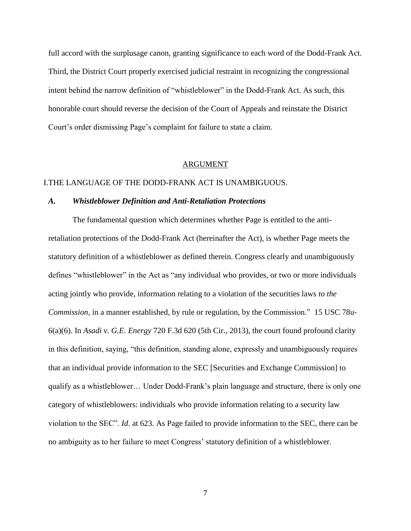full accord with the surplusage canon, granting significance to each word of the Dodd-Frank Act. Third, the District Court properly exercised judicial restraint in recognizing the congressional intent behind the narrow definition of "whistleblower" in the Dodd-Frank Act. As such, this honorable court should reverse the decision of the Court of Appeals and reinstate the District Court's order dismissing Page's complaint for failure to state a claim.

#### ARGUMENT

## I.THE LANGUAGE OF THE DODD-FRANK ACT IS UNAMBIGUOUS.

### *A. Whistleblower Definition and Anti-Retaliation Protections*

The fundamental question which determines whether Page is entitled to the antiretaliation protections of the Dodd-Frank Act (hereinafter the Act), is whether Page meets the statutory definition of a whistleblower as defined therein. Congress clearly and unambiguously defines "whistleblower" in the Act as "any individual who provides, or two or more individuals acting jointly who provide, information relating to a violation of the securities laws *to the Commission*, in a manner established, by rule or regulation, by the Commission." 15 USC 78u-6(a)(6). In *Asadi v. G.E. Energy* 720 F.3d 620 (5th Cir., 2013), the court found profound clarity in this definition, saying, "this definition, standing alone, expressly and unambiguously requires that an individual provide information to the SEC [Securities and Exchange Commission] to qualify as a whistleblower… Under Dodd-Frank's plain language and structure, there is only one category of whistleblowers: individuals who provide information relating to a security law violation to the SEC". *Id*. at 623. As Page failed to provide information to the SEC, there can be no ambiguity as to her failure to meet Congress' statutory definition of a whistleblower.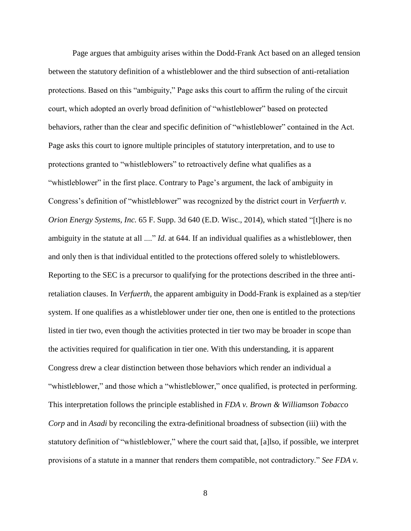Page argues that ambiguity arises within the Dodd-Frank Act based on an alleged tension between the statutory definition of a whistleblower and the third subsection of anti-retaliation protections. Based on this "ambiguity," Page asks this court to affirm the ruling of the circuit court, which adopted an overly broad definition of "whistleblower" based on protected behaviors, rather than the clear and specific definition of "whistleblower" contained in the Act. Page asks this court to ignore multiple principles of statutory interpretation, and to use to protections granted to "whistleblowers" to retroactively define what qualifies as a "whistleblower" in the first place. Contrary to Page's argument, the lack of ambiguity in Congress's definition of "whistleblower" was recognized by the district court in *Verfuerth v. Orion Energy Systems, Inc.* 65 F. Supp. 3d 640 (E.D. Wisc., 2014), which stated "[t]here is no ambiguity in the statute at all ...." *Id*. at 644. If an individual qualifies as a whistleblower, then and only then is that individual entitled to the protections offered solely to whistleblowers. Reporting to the SEC is a precursor to qualifying for the protections described in the three antiretaliation clauses. In *Verfuerth*, the apparent ambiguity in Dodd-Frank is explained as a step/tier system. If one qualifies as a whistleblower under tier one, then one is entitled to the protections listed in tier two, even though the activities protected in tier two may be broader in scope than the activities required for qualification in tier one. With this understanding, it is apparent Congress drew a clear distinction between those behaviors which render an individual a "whistleblower," and those which a "whistleblower," once qualified, is protected in performing. This interpretation follows the principle established in *FDA v. Brown & Williamson Tobacco Corp* and in *Asadi* by reconciling the extra-definitional broadness of subsection (iii) with the statutory definition of "whistleblower," where the court said that, [a]lso, if possible, we interpret provisions of a statute in a manner that renders them compatible, not contradictory." *See FDA v.*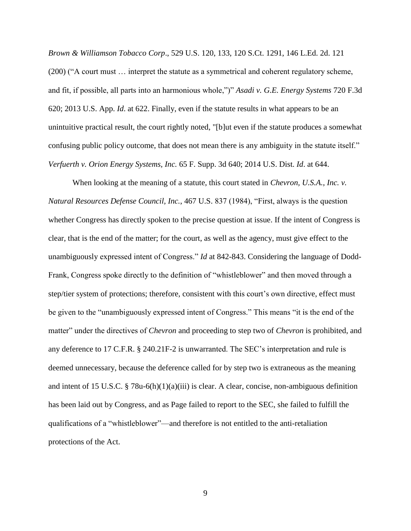*Brown & Williamson Tobacco Corp*., 529 U.S. 120, 133, 120 S.Ct. 1291, 146 L.Ed. 2d. 121 (200) ("A court must … interpret the statute as a symmetrical and coherent regulatory scheme, and fit, if possible, all parts into an harmonious whole,")" *Asadi v. G.E. Energy Systems* 720 F.3d 620; 2013 U.S. App. *Id*. at 622. Finally, even if the statute results in what appears to be an unintuitive practical result, the court rightly noted, "[b]ut even if the statute produces a somewhat confusing public policy outcome, that does not mean there is any ambiguity in the statute itself." *Verfuerth v. Orion Energy Systems, Inc.* 65 F. Supp. 3d 640; 2014 U.S. Dist. *Id*. at 644.

When looking at the meaning of a statute, this court stated in *Chevron, U.S.A., Inc. v. Natural Resources Defense Council, Inc.*, 467 U.S. 837 (1984), "First, always is the question whether Congress has directly spoken to the precise question at issue. If the intent of Congress is clear, that is the end of the matter; for the court, as well as the agency, must give effect to the unambiguously expressed intent of Congress." *Id* at 842-843. Considering the language of Dodd-Frank, Congress spoke directly to the definition of "whistleblower" and then moved through a step/tier system of protections; therefore, consistent with this court's own directive, effect must be given to the "unambiguously expressed intent of Congress." This means "it is the end of the matter" under the directives of *Chevron* and proceeding to step two of *Chevron* is prohibited, and any deference to 17 C.F.R. § 240.21F-2 is unwarranted. The SEC's interpretation and rule is deemed unnecessary, because the deference called for by step two is extraneous as the meaning and intent of 15 U.S.C. § 78u-6(h)(1)(a)(iii) is clear. A clear, concise, non-ambiguous definition has been laid out by Congress, and as Page failed to report to the SEC, she failed to fulfill the qualifications of a "whistleblower"—and therefore is not entitled to the anti-retaliation protections of the Act.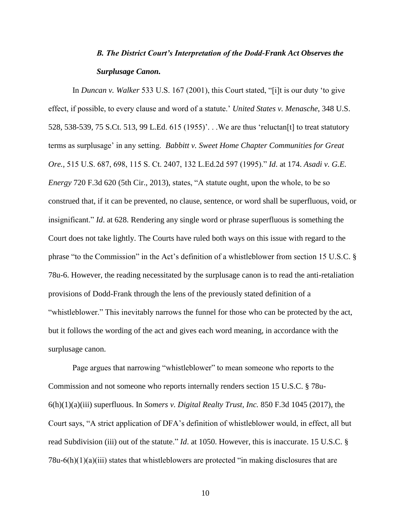# *B. The District Court's Interpretation of the Dodd-Frank Act Observes the Surplusage Canon.*

In *Duncan v. Walker* 533 U.S. 167 (2001), this Court stated, "[i]t is our duty 'to give effect, if possible, to every clause and word of a statute.' *United States v. Menasche*, 348 U.S. 528, 538-539, 75 S.Ct. 513, 99 L.Ed. 615 (1955)'. . .We are thus 'reluctan[t] to treat statutory terms as surplusage' in any setting. *Babbitt v. Sweet Home Chapter Communities for Great Ore.,* 515 U.S. 687, 698, 115 S. Ct. 2407, 132 L.Ed.2d 597 (1995)." *Id*. at 174. *Asadi v. G.E. Energy* 720 F.3d 620 (5th Cir., 2013), states, "A statute ought, upon the whole, to be so construed that, if it can be prevented, no clause, sentence, or word shall be superfluous, void, or insignificant." *Id*. at 628. Rendering any single word or phrase superfluous is something the Court does not take lightly. The Courts have ruled both ways on this issue with regard to the phrase "to the Commission" in the Act's definition of a whistleblower from section 15 U.S.C. § 78u-6. However, the reading necessitated by the surplusage canon is to read the anti-retaliation provisions of Dodd-Frank through the lens of the previously stated definition of a "whistleblower." This inevitably narrows the funnel for those who can be protected by the act, but it follows the wording of the act and gives each word meaning, in accordance with the surplusage canon.

Page argues that narrowing "whistleblower" to mean someone who reports to the Commission and not someone who reports internally renders section 15 U.S.C. § 78u-6(h)(1)(a)(iii) superfluous. In *Somers v. Digital Realty Trust, Inc.* 850 F.3d 1045 (2017), the Court says, "A strict application of DFA's definition of whistleblower would, in effect, all but read Subdivision (iii) out of the statute." *Id*. at 1050. However, this is inaccurate. 15 U.S.C. §  $78u-6(h)(1)(a)(iii)$  states that whistleblowers are protected "in making disclosures that are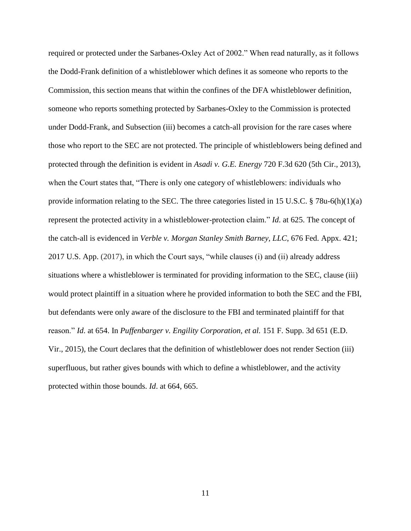required or protected under the Sarbanes-Oxley Act of 2002." When read naturally, as it follows the Dodd-Frank definition of a whistleblower which defines it as someone who reports to the Commission, this section means that within the confines of the DFA whistleblower definition, someone who reports something protected by Sarbanes-Oxley to the Commission is protected under Dodd-Frank, and Subsection (iii) becomes a catch-all provision for the rare cases where those who report to the SEC are not protected. The principle of whistleblowers being defined and protected through the definition is evident in *Asadi v. G.E. Energy* 720 F.3d 620 (5th Cir., 2013), when the Court states that, "There is only one category of whistleblowers: individuals who provide information relating to the SEC. The three categories listed in 15 U.S.C. § 78u-6(h)(1)(a) represent the protected activity in a whistleblower-protection claim." *Id*. at 625. The concept of the catch-all is evidenced in *Verble v. Morgan Stanley Smith Barney, LLC*, 676 Fed. Appx. 421; 2017 U.S. App. (2017), in which the Court says, "while clauses (i) and (ii) already address situations where a whistleblower is terminated for providing information to the SEC, clause (iii) would protect plaintiff in a situation where he provided information to both the SEC and the FBI, but defendants were only aware of the disclosure to the FBI and terminated plaintiff for that reason." *Id*. at 654. In *Puffenbarger v. Engility Corporation, et al.* 151 F. Supp. 3d 651 (E.D. Vir., 2015), the Court declares that the definition of whistleblower does not render Section (iii) superfluous, but rather gives bounds with which to define a whistleblower, and the activity protected within those bounds. *Id*. at 664, 665.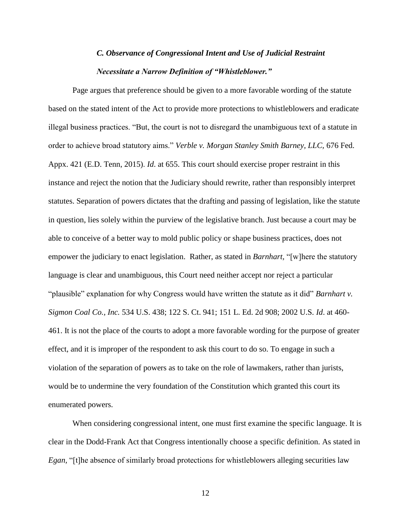# *C. Observance of Congressional Intent and Use of Judicial Restraint Necessitate a Narrow Definition of "Whistleblower."*

Page argues that preference should be given to a more favorable wording of the statute based on the stated intent of the Act to provide more protections to whistleblowers and eradicate illegal business practices. "But, the court is not to disregard the unambiguous text of a statute in order to achieve broad statutory aims." *Verble v. Morgan Stanley Smith Barney, LLC,* 676 Fed. Appx. 421 (E.D. Tenn, 2015). *Id*. at 655. This court should exercise proper restraint in this instance and reject the notion that the Judiciary should rewrite, rather than responsibly interpret statutes. Separation of powers dictates that the drafting and passing of legislation, like the statute in question, lies solely within the purview of the legislative branch. Just because a court may be able to conceive of a better way to mold public policy or shape business practices, does not empower the judiciary to enact legislation. Rather, as stated in *Barnhart,* "[w]here the statutory language is clear and unambiguous, this Court need neither accept nor reject a particular "plausible" explanation for why Congress would have written the statute as it did" *Barnhart v. Sigmon Coal Co., Inc.* 534 U.S. 438; 122 S. Ct. 941; 151 L. Ed. 2d 908; 2002 U.S*. Id*. at 460- 461. It is not the place of the courts to adopt a more favorable wording for the purpose of greater effect, and it is improper of the respondent to ask this court to do so. To engage in such a violation of the separation of powers as to take on the role of lawmakers, rather than jurists, would be to undermine the very foundation of the Constitution which granted this court its enumerated powers.

When considering congressional intent, one must first examine the specific language. It is clear in the Dodd-Frank Act that Congress intentionally choose a specific definition. As stated in *Egan,* "[t]he absence of similarly broad protections for whistleblowers alleging securities law